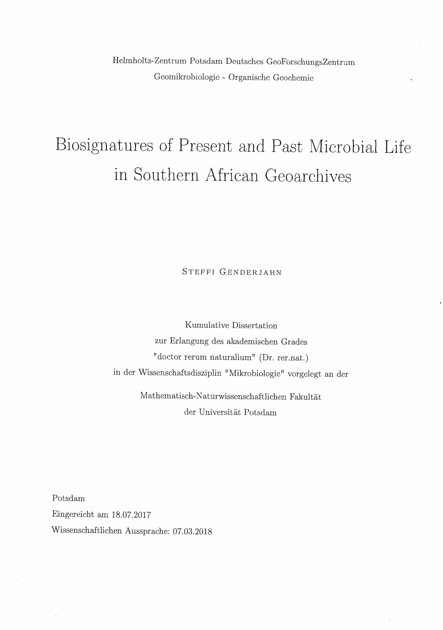Helmholtz-Zentrum Potsdam Deutsches GeoForschungsZentrum Geomikrobiologie - Organische Geochemie

# Biosignatures of Present and Past Microbial Life in Southern African Geoarchives

#### Steffi Genderjahn

Kumulative Dissertation zur Erlangung des akademischen Grades "doctor rerum naturalium" (Dr. rer.nat.) in der Wissenschaftsdisziplin "Mikrobiologie" vorgelegt an der

> Mathematisch-Naturwissenschaftlichen Fakultat der Universitat Potsdam

Potsdam

Eingereicht am 18.07.2017

Wissenschaftlichen Aussprache: 07.03.2018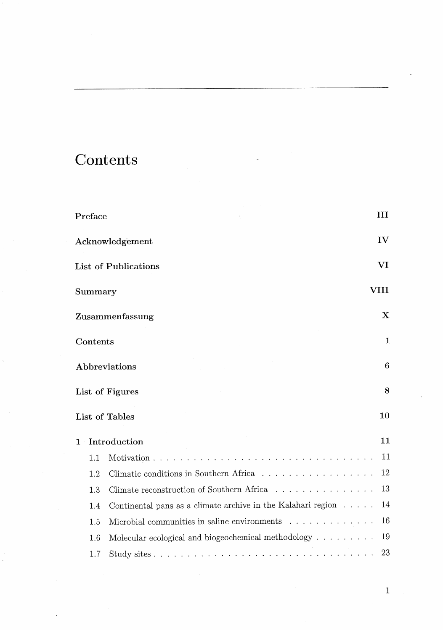|                   | Preface       |                                                                                                                                                                                                                                                 | Ш            |  |
|-------------------|---------------|-------------------------------------------------------------------------------------------------------------------------------------------------------------------------------------------------------------------------------------------------|--------------|--|
|                   |               | Acknowledgement                                                                                                                                                                                                                                 | IV           |  |
|                   |               | List of Publications                                                                                                                                                                                                                            | VI           |  |
|                   | Summary       |                                                                                                                                                                                                                                                 | VIII         |  |
|                   |               | Zusammenfassung                                                                                                                                                                                                                                 | $\mathbf X$  |  |
|                   | Contents      |                                                                                                                                                                                                                                                 | $\mathbf{1}$ |  |
|                   | Abbreviations |                                                                                                                                                                                                                                                 |              |  |
|                   |               | List of Figures                                                                                                                                                                                                                                 | 8            |  |
|                   |               | List of Tables                                                                                                                                                                                                                                  | 10           |  |
| Introduction<br>1 |               |                                                                                                                                                                                                                                                 |              |  |
|                   | 1.1           | $\mathbf{r}$ , and the state of the state of the state of the state of the state of the state of the state of the state of the state of the state of the state of the state of the state of the state of the state of the state o<br>Motivation | 11           |  |
|                   | 1.2           | Climatic conditions in Southern Africa                                                                                                                                                                                                          | 12           |  |
|                   | 1.3           | Climate reconstruction of Southern Africa                                                                                                                                                                                                       | 13           |  |
|                   | 1.4           | Continental pans as a climate archive in the Kalahari region $\ldots \ldots$                                                                                                                                                                    | 14           |  |
|                   | 1.5           | Microbial communities in saline environments                                                                                                                                                                                                    | 16           |  |
|                   | 1.6           | Molecular ecological and biogeochemical methodology $\ldots \ldots \ldots$                                                                                                                                                                      | 19           |  |
|                   | 1.7           |                                                                                                                                                                                                                                                 | 23           |  |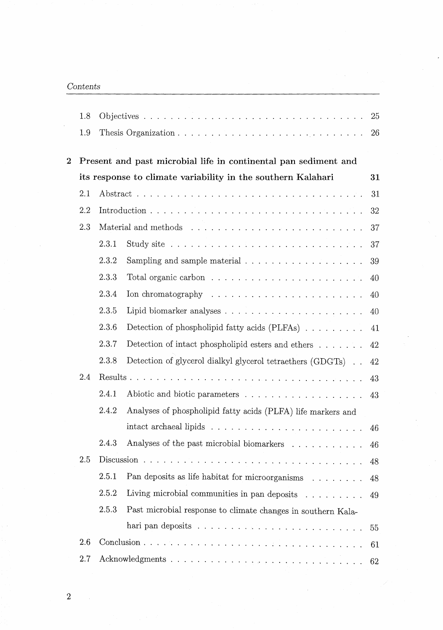|          | 1.8 |                                                                 |                                                                      | 25 |  |  |
|----------|-----|-----------------------------------------------------------------|----------------------------------------------------------------------|----|--|--|
|          | 1.9 |                                                                 |                                                                      | 26 |  |  |
|          |     |                                                                 |                                                                      |    |  |  |
| $\bf{2}$ |     | Present and past microbial life in continental pan sediment and |                                                                      |    |  |  |
|          |     | its response to climate variability in the southern Kalahari    | 31                                                                   |    |  |  |
|          | 2.1 |                                                                 |                                                                      |    |  |  |
|          | 2.2 |                                                                 |                                                                      | 32 |  |  |
|          | 2.3 |                                                                 |                                                                      |    |  |  |
|          |     | 2.3.1                                                           |                                                                      | 37 |  |  |
|          |     | 2.3.2                                                           |                                                                      | 39 |  |  |
|          |     | 2.3.3                                                           |                                                                      | 40 |  |  |
|          |     | 2.3.4                                                           | Ion chromatography $\dots \dots \dots \dots \dots \dots \dots \dots$ | 40 |  |  |
|          |     | 2.3.5                                                           |                                                                      | 40 |  |  |
|          |     | 2.3.6                                                           | Detection of phospholipid fatty acids (PLFAs)                        | 41 |  |  |
|          |     | 2.3.7                                                           | Detection of intact phospholipid esters and ethers $\dots \dots$     | 42 |  |  |
|          |     | 2.3.8                                                           | Detection of glycerol dialkyl glycerol tetraethers (GDGTs)           | 42 |  |  |
| 2.4      |     |                                                                 |                                                                      | 43 |  |  |
|          |     | 2.4.1                                                           |                                                                      | 43 |  |  |
|          |     | 2.4.2                                                           | Analyses of phospholipid fatty acids (PLFA) life markers and         |    |  |  |
|          |     |                                                                 |                                                                      | 46 |  |  |
|          |     | 2.4.3                                                           | Analyses of the past microbial biomarkers                            | 46 |  |  |
|          | 2.5 |                                                                 |                                                                      |    |  |  |
|          |     | 2.5.1                                                           | Pan deposits as life habitat for microorganisms                      | 48 |  |  |
|          |     | 2.5.2                                                           | Living microbial communities in pan deposits                         | 49 |  |  |
|          |     | 2.5.3                                                           | Past microbial response to climate changes in southern Kala-         |    |  |  |
|          |     |                                                                 |                                                                      | 55 |  |  |
|          | 2.6 |                                                                 |                                                                      |    |  |  |
|          | 2.7 |                                                                 |                                                                      |    |  |  |
|          |     |                                                                 |                                                                      |    |  |  |

l,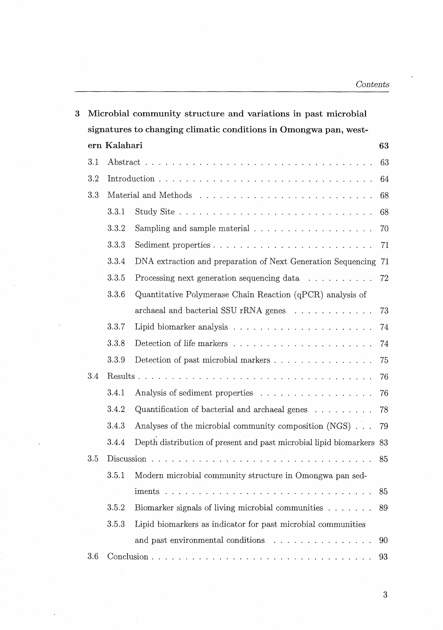| 3 | Microbial community structure and variations in past microbial   |                    |                                                                       |    |  |  |
|---|------------------------------------------------------------------|--------------------|-----------------------------------------------------------------------|----|--|--|
|   | signatures to changing climatic conditions in Omongwa pan, west- |                    |                                                                       |    |  |  |
|   |                                                                  | ern Kalahari<br>63 |                                                                       |    |  |  |
|   | 3.1                                                              |                    |                                                                       | 63 |  |  |
|   | 3.2                                                              |                    |                                                                       | 64 |  |  |
|   | 3.3                                                              | 68                 |                                                                       |    |  |  |
|   |                                                                  | 3.3.1              |                                                                       | 68 |  |  |
|   |                                                                  | 3.3.2              |                                                                       | 70 |  |  |
|   |                                                                  | 3.3.3              |                                                                       | 71 |  |  |
|   |                                                                  | 3.3.4              | DNA extraction and preparation of Next Generation Sequencing 71       |    |  |  |
|   |                                                                  | 3.3.5              | Processing next generation sequencing data                            | 72 |  |  |
|   |                                                                  | 3.3.6              | Quantitative Polymerase Chain Reaction (qPCR) analysis of             |    |  |  |
|   |                                                                  |                    | archaeal and bacterial SSU rRNA genes                                 | 73 |  |  |
|   |                                                                  | 3.3.7              |                                                                       | 74 |  |  |
|   |                                                                  | 3.3.8              |                                                                       | 74 |  |  |
|   |                                                                  | 3.3.9              | Detection of past microbial markers                                   | 75 |  |  |
|   | 3.4                                                              |                    |                                                                       | 76 |  |  |
|   |                                                                  | 3.4.1              |                                                                       | 76 |  |  |
|   |                                                                  | 3.4.2              | Quantification of bacterial and archaeal genes $\ldots \ldots \ldots$ | 78 |  |  |
|   |                                                                  | 3.4.3              | Analyses of the microbial community composition (NGS)                 | 79 |  |  |
|   |                                                                  | 3.4.4              | Depth distribution of present and past microbial lipid biomarkers 83  |    |  |  |
|   | $3.5\,$                                                          |                    |                                                                       | 85 |  |  |
|   |                                                                  | 3.5.1              | Modern microbial community structure in Omongwa pan sed-              |    |  |  |
|   |                                                                  |                    |                                                                       | 85 |  |  |
|   |                                                                  | 3.5.2              | Biomarker signals of living microbial communities                     | 89 |  |  |
|   |                                                                  | 3.5.3              | Lipid biomarkers as indicator for past microbial communities          |    |  |  |
|   |                                                                  |                    |                                                                       | 90 |  |  |
|   | 3.6                                                              |                    |                                                                       | 93 |  |  |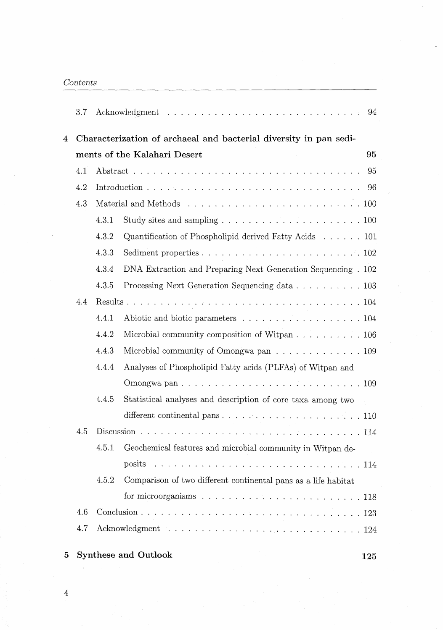|   | 3.7                                                               |                                    |                                                                                                       | 94 |  |
|---|-------------------------------------------------------------------|------------------------------------|-------------------------------------------------------------------------------------------------------|----|--|
| 4 | Characterization of archaeal and bacterial diversity in pan sedi- |                                    |                                                                                                       |    |  |
|   |                                                                   | ments of the Kalahari Desert<br>95 |                                                                                                       |    |  |
|   | 4.1                                                               |                                    |                                                                                                       | 95 |  |
|   | 4.2                                                               |                                    |                                                                                                       |    |  |
|   | 4.3                                                               |                                    |                                                                                                       |    |  |
|   |                                                                   | 4.3.1                              |                                                                                                       |    |  |
|   |                                                                   | 4.3.2                              | Quantification of Phospholipid derived Fatty Acids 101                                                |    |  |
|   |                                                                   | 4.3.3                              |                                                                                                       |    |  |
|   |                                                                   | 4.3.4                              | DNA Extraction and Preparing Next Generation Sequencing . 102                                         |    |  |
|   |                                                                   | 4.3.5                              | Processing Next Generation Sequencing data 103                                                        |    |  |
|   | 4.4                                                               |                                    |                                                                                                       |    |  |
|   |                                                                   | 4.4.1                              | Abiotic and biotic parameters 104                                                                     |    |  |
|   |                                                                   | 4.4.2                              | Microbial community composition of Witpan 106                                                         |    |  |
|   |                                                                   | 4.4.3                              | Microbial community of Omongwa pan $\dots \dots \dots \dots \dots \dots$                              |    |  |
|   |                                                                   | 4.4.4                              | Analyses of Phospholipid Fatty acids (PLFAs) of Witpan and                                            |    |  |
|   |                                                                   |                                    |                                                                                                       |    |  |
|   |                                                                   | 4.4.5                              | Statistical analyses and description of core taxa among two                                           |    |  |
|   |                                                                   |                                    | different continental pans $\ldots$ , $\ldots$ , $\ldots$ , $\ldots$ , $\ldots$ , $\ldots$ , $\ldots$ |    |  |
|   | 4.5                                                               |                                    |                                                                                                       |    |  |
|   |                                                                   | 4.5.1                              | Geochemical features and microbial community in Witpan de-                                            |    |  |
|   |                                                                   |                                    |                                                                                                       |    |  |
|   |                                                                   | 4.5.2                              | Comparison of two different continental pans as a life habitat                                        |    |  |
|   |                                                                   |                                    |                                                                                                       |    |  |
|   | 4.6                                                               |                                    |                                                                                                       |    |  |
|   | 4.7                                                               |                                    |                                                                                                       |    |  |
|   |                                                                   |                                    |                                                                                                       |    |  |
| 5 |                                                                   |                                    | <b>Synthese and Outlook</b><br>125                                                                    |    |  |